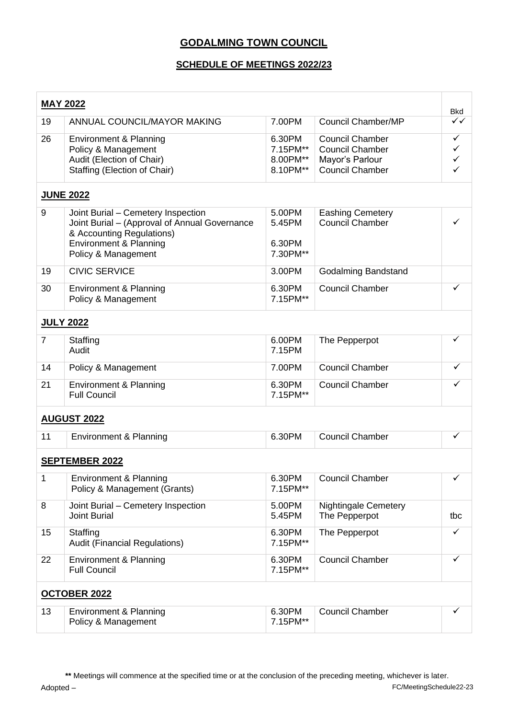## **GODALMING TOWN COUNCIL**

## **SCHEDULE OF MEETINGS 2022/23**

| <b>MAY 2022</b>       |                                                                                                                                                                   |                                            |                                                                                               | <b>Bkd</b>                             |
|-----------------------|-------------------------------------------------------------------------------------------------------------------------------------------------------------------|--------------------------------------------|-----------------------------------------------------------------------------------------------|----------------------------------------|
| 19                    | ANNUAL COUNCIL/MAYOR MAKING                                                                                                                                       | 7.00PM                                     | Council Chamber/MP                                                                            | ✓✓                                     |
| 26                    | Environment & Planning<br>Policy & Management<br>Audit (Election of Chair)<br>Staffing (Election of Chair)                                                        | 6.30PM<br>7.15PM**<br>8.00PM**<br>8.10PM** | <b>Council Chamber</b><br><b>Council Chamber</b><br>Mayor's Parlour<br><b>Council Chamber</b> | ✓<br>$\checkmark$<br>$\checkmark$<br>✓ |
| <b>JUNE 2022</b>      |                                                                                                                                                                   |                                            |                                                                                               |                                        |
| 9                     | Joint Burial - Cemetery Inspection<br>Joint Burial - (Approval of Annual Governance<br>& Accounting Regulations)<br>Environment & Planning<br>Policy & Management | 5.00PM<br>5.45PM<br>6.30PM<br>7.30PM**     | <b>Eashing Cemetery</b><br><b>Council Chamber</b>                                             |                                        |
| 19                    | <b>CIVIC SERVICE</b>                                                                                                                                              | 3.00PM                                     | Godalming Bandstand                                                                           |                                        |
| 30                    | Environment & Planning<br>Policy & Management                                                                                                                     | 6.30PM<br>7.15PM**                         | <b>Council Chamber</b>                                                                        | ✓                                      |
| <b>JULY 2022</b>      |                                                                                                                                                                   |                                            |                                                                                               |                                        |
| $\overline{7}$        | Staffing<br>Audit                                                                                                                                                 | 6.00PM<br>7.15PM                           | The Pepperpot                                                                                 | ✓                                      |
| 14                    | Policy & Management                                                                                                                                               | 7.00PM                                     | <b>Council Chamber</b>                                                                        | ✓                                      |
| 21                    | <b>Environment &amp; Planning</b><br><b>Full Council</b>                                                                                                          | 6.30PM<br>7.15PM**                         | <b>Council Chamber</b>                                                                        | ✓                                      |
|                       | <b>AUGUST 2022</b>                                                                                                                                                |                                            |                                                                                               |                                        |
| 11                    | Environment & Planning                                                                                                                                            | 6.30PM                                     | <b>Council Chamber</b>                                                                        | $\checkmark$                           |
| <b>SEPTEMBER 2022</b> |                                                                                                                                                                   |                                            |                                                                                               |                                        |
| 1                     | Environment & Planning<br>Policy & Management (Grants)                                                                                                            | 6.30PM<br>7.15PM**                         | <b>Council Chamber</b>                                                                        | ✓                                      |
| 8                     | Joint Burial - Cemetery Inspection<br><b>Joint Burial</b>                                                                                                         | 5.00PM<br>5.45PM                           | <b>Nightingale Cemetery</b><br>The Pepperpot                                                  | tbc                                    |
| 15                    | Staffing<br><b>Audit (Financial Regulations)</b>                                                                                                                  | 6.30PM<br>7.15PM**                         | The Pepperpot                                                                                 | $\checkmark$                           |
| 22                    | <b>Environment &amp; Planning</b><br><b>Full Council</b>                                                                                                          | 6.30PM<br>7.15PM**                         | <b>Council Chamber</b>                                                                        | ✓                                      |
| <b>OCTOBER 2022</b>   |                                                                                                                                                                   |                                            |                                                                                               |                                        |
| 13                    | Environment & Planning<br>Policy & Management                                                                                                                     | 6.30PM<br>7.15PM**                         | <b>Council Chamber</b>                                                                        | ✓                                      |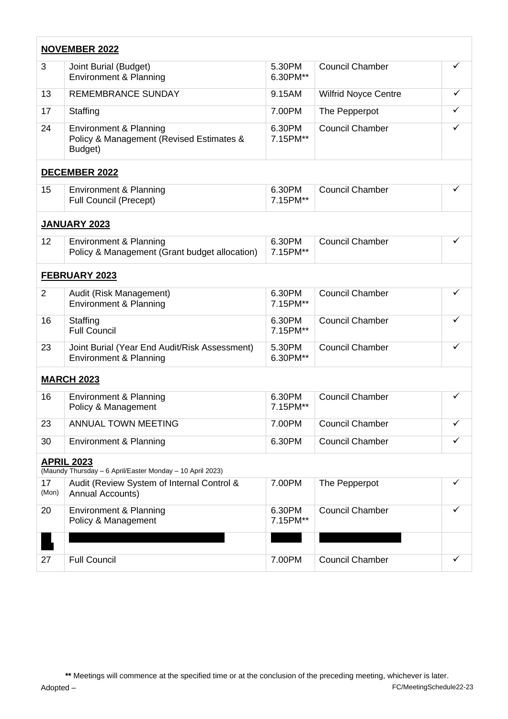| <b>NOVEMBER 2022</b>                                                           |                                                                                          |                    |                             |              |
|--------------------------------------------------------------------------------|------------------------------------------------------------------------------------------|--------------------|-----------------------------|--------------|
| 3                                                                              | Joint Burial (Budget)<br>Environment & Planning                                          | 5.30PM<br>6.30PM** | <b>Council Chamber</b>      | ✓            |
| 13                                                                             | <b>REMEMBRANCE SUNDAY</b>                                                                | 9.15AM             | <b>Wilfrid Noyce Centre</b> | ✓            |
| 17                                                                             | Staffing                                                                                 | 7.00PM             | The Pepperpot               | ✓            |
| 24                                                                             | <b>Environment &amp; Planning</b><br>Policy & Management (Revised Estimates &<br>Budget) | 6.30PM<br>7.15PM** | <b>Council Chamber</b>      | ✓            |
|                                                                                | <b>DECEMBER 2022</b>                                                                     |                    |                             |              |
| 15                                                                             | Environment & Planning<br><b>Full Council (Precept)</b>                                  | 6.30PM<br>7.15PM** | <b>Council Chamber</b>      | $\checkmark$ |
| <b>JANUARY 2023</b>                                                            |                                                                                          |                    |                             |              |
| 12                                                                             | <b>Environment &amp; Planning</b><br>Policy & Management (Grant budget allocation)       | 6.30PM<br>7.15PM** | <b>Council Chamber</b>      | ✓            |
| FEBRUARY 2023                                                                  |                                                                                          |                    |                             |              |
| $\overline{2}$                                                                 | Audit (Risk Management)<br>Environment & Planning                                        | 6.30PM<br>7.15PM** | <b>Council Chamber</b>      | ✓            |
| 16                                                                             | Staffing<br><b>Full Council</b>                                                          | 6.30PM<br>7.15PM** | <b>Council Chamber</b>      |              |
| 23                                                                             | Joint Burial (Year End Audit/Risk Assessment)<br>Environment & Planning                  | 5.30PM<br>6.30PM** | <b>Council Chamber</b>      |              |
| <b>MARCH 2023</b>                                                              |                                                                                          |                    |                             |              |
| 16                                                                             | Environment & Planning<br>Policy & Management                                            | 6.30PM<br>7.15PM** | <b>Council Chamber</b>      | ✓            |
| 23                                                                             | ANNUAL TOWN MEETING                                                                      | 7.00PM             | <b>Council Chamber</b>      | ✓            |
| 30                                                                             | Environment & Planning                                                                   | 6.30PM             | <b>Council Chamber</b>      | $\checkmark$ |
| <b>APRIL 2023</b><br>(Maundy Thursday - 6 April/Easter Monday - 10 April 2023) |                                                                                          |                    |                             |              |
| 17<br>(Mon)                                                                    | Audit (Review System of Internal Control &<br>Annual Accounts)                           | 7.00PM             | The Pepperpot               |              |
| 20                                                                             | Environment & Planning<br>Policy & Management                                            | 6.30PM<br>7.15PM** | <b>Council Chamber</b>      |              |
|                                                                                |                                                                                          |                    |                             |              |
| 27                                                                             | <b>Full Council</b>                                                                      | 7.00PM             | <b>Council Chamber</b>      | ✓            |